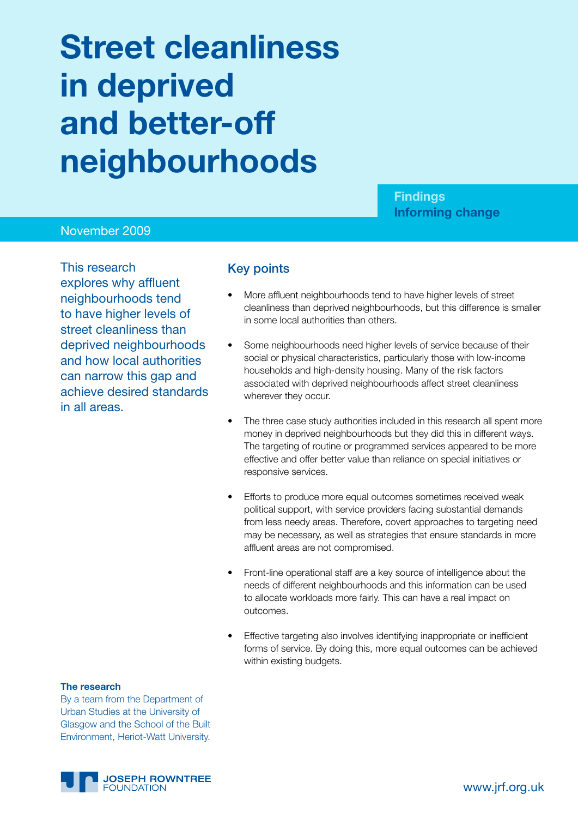# **Street cleanliness in deprived and better-off neighbourhoods**

**Findings Informing change**

#### November 2009

This research explores why affluent neighbourhoods tend to have higher levels of street cleanliness than deprived neighbourhoods and how local authorities can narrow this gap and achieve desired standards in all areas.

#### Key points

- More affluent neighbourhoods tend to have higher levels of street cleanliness than deprived neighbourhoods, but this difference is smaller in some local authorities than others.
- Some neighbourhoods need higher levels of service because of their social or physical characteristics, particularly those with low-income households and high-density housing. Many of the risk factors associated with deprived neighbourhoods affect street cleanliness wherever they occur.
- The three case study authorities included in this research all spent more money in deprived neighbourhoods but they did this in different ways. The targeting of routine or programmed services appeared to be more effective and offer better value than reliance on special initiatives or responsive services.
- • Efforts to produce more equal outcomes sometimes received weak political support, with service providers facing substantial demands from less needy areas. Therefore, covert approaches to targeting need may be necessary, as well as strategies that ensure standards in more affluent areas are not compromised.
- Front-line operational staff are a key source of intelligence about the needs of different neighbourhoods and this information can be used to allocate workloads more fairly. This can have a real impact on outcomes.
- Effective targeting also involves identifying inappropriate or inefficient forms of service. By doing this, more equal outcomes can be achieved within existing budgets.

#### **The research**

By a team from the Department of Urban Studies at the University of Glasgow and the School of the Built Environment, Heriot-Watt University.

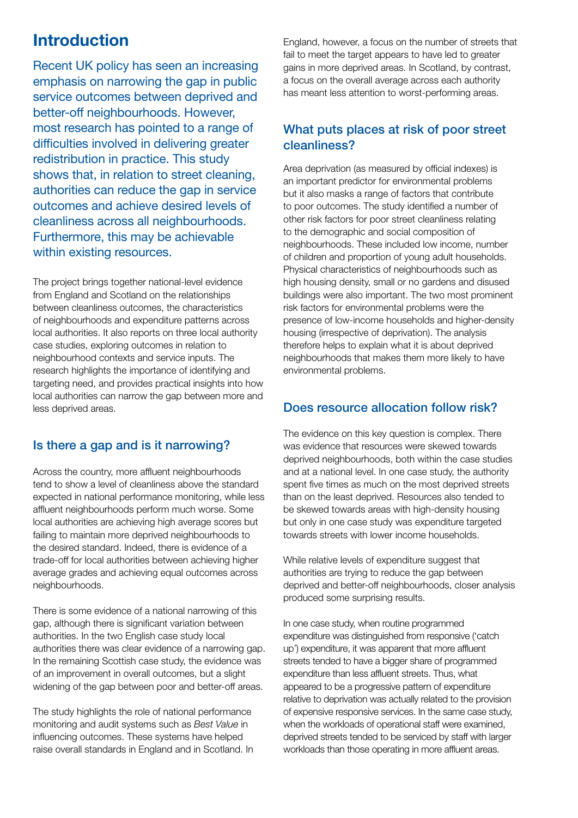## **Introduction**

Recent UK policy has seen an increasing emphasis on narrowing the gap in public service outcomes between deprived and better-off neighbourhoods. However, most research has pointed to a range of difficulties involved in delivering greater redistribution in practice. This study shows that, in relation to street cleaning, authorities can reduce the gap in service outcomes and achieve desired levels of cleanliness across all neighbourhoods. Furthermore, this may be achievable within existing resources.

The project brings together national-level evidence from England and Scotland on the relationships between cleanliness outcomes, the characteristics of neighbourhoods and expenditure patterns across local authorities. It also reports on three local authority case studies, exploring outcomes in relation to neighbourhood contexts and service inputs. The research highlights the importance of identifying and targeting need, and provides practical insights into how local authorities can narrow the gap between more and less deprived areas.

### Is there a gap and is it narrowing?

Across the country, more affluent neighbourhoods tend to show a level of cleanliness above the standard expected in national performance monitoring, while less affluent neighbourhoods perform much worse. Some local authorities are achieving high average scores but failing to maintain more deprived neighbourhoods to the desired standard. Indeed, there is evidence of a trade-off for local authorities between achieving higher average grades and achieving equal outcomes across neighbourhoods.

There is some evidence of a national narrowing of this gap, although there is significant variation between authorities. In the two English case study local authorities there was clear evidence of a narrowing gap. In the remaining Scottish case study, the evidence was of an improvement in overall outcomes, but a slight widening of the gap between poor and better-off areas.

The study highlights the role of national performance monitoring and audit systems such as *Best Value* in influencing outcomes. These systems have helped raise overall standards in England and in Scotland. In England, however, a focus on the number of streets that fail to meet the target appears to have led to greater gains in more deprived areas. In Scotland, by contrast, a focus on the overall average across each authority has meant less attention to worst-performing areas.

#### What puts places at risk of poor street cleanliness?

Area deprivation (as measured by official indexes) is an important predictor for environmental problems but it also masks a range of factors that contribute to poor outcomes. The study identified a number of other risk factors for poor street cleanliness relating to the demographic and social composition of neighbourhoods. These included low income, number of children and proportion of young adult households. Physical characteristics of neighbourhoods such as high housing density, small or no gardens and disused buildings were also important. The two most prominent risk factors for environmental problems were the presence of low-income households and higher-density housing (irrespective of deprivation). The analysis therefore helps to explain what it is about deprived neighbourhoods that makes them more likely to have environmental problems.

### Does resource allocation follow risk?

The evidence on this key question is complex. There was evidence that resources were skewed towards deprived neighbourhoods, both within the case studies and at a national level. In one case study, the authority spent five times as much on the most deprived streets than on the least deprived. Resources also tended to be skewed towards areas with high-density housing but only in one case study was expenditure targeted towards streets with lower income households.

While relative levels of expenditure suggest that authorities are trying to reduce the gap between deprived and better-off neighbourhoods, closer analysis produced some surprising results.

In one case study, when routine programmed expenditure was distinguished from responsive ('catch up') expenditure, it was apparent that more affluent streets tended to have a bigger share of programmed expenditure than less affluent streets. Thus, what appeared to be a progressive pattern of expenditure relative to deprivation was actually related to the provision of expensive responsive services. In the same case study, when the workloads of operational staff were examined, deprived streets tended to be serviced by staff with larger workloads than those operating in more affluent areas.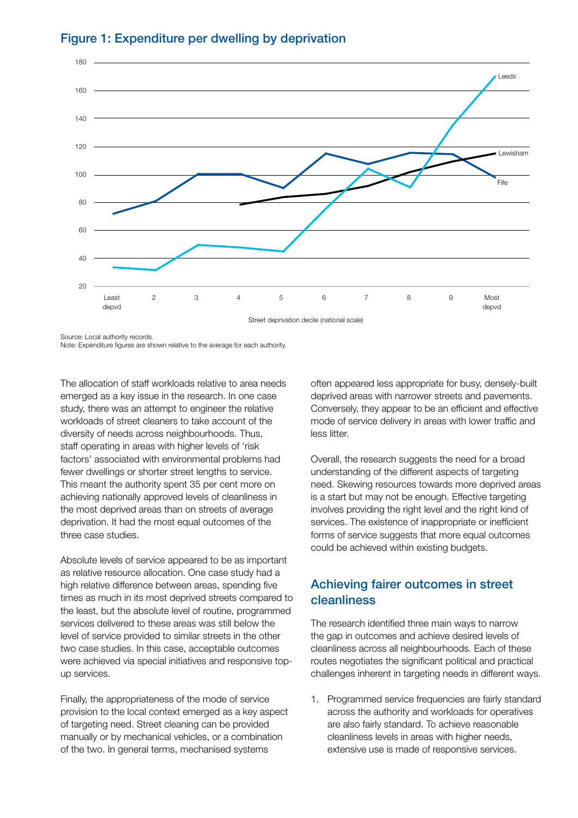

#### Figure 1: Expenditure per dwelling by deprivation

Source: Local authority records.

Note: Expenditure figures are shown relative to the average for each authority.

The allocation of staff workloads relative to area needs emerged as a key issue in the research. In one case study, there was an attempt to engineer the relative workloads of street cleaners to take account of the diversity of needs across neighbourhoods. Thus, staff operating in areas with higher levels of 'risk factors' associated with environmental problems had fewer dwellings or shorter street lengths to service. This meant the authority spent 35 per cent more on achieving nationally approved levels of cleanliness in the most deprived areas than on streets of average deprivation. It had the most equal outcomes of the three case studies.

Absolute levels of service appeared to be as important as relative resource allocation. One case study had a high relative difference between areas, spending five times as much in its most deprived streets compared to the least, but the absolute level of routine, programmed services delivered to these areas was still below the level of service provided to similar streets in the other two case studies. In this case, acceptable outcomes were achieved via special initiatives and responsive topup services.

Finally, the appropriateness of the mode of service provision to the local context emerged as a key aspect of targeting need. Street cleaning can be provided manually or by mechanical vehicles, or a combination of the two. In general terms, mechanised systems

often appeared less appropriate for busy, densely-built deprived areas with narrower streets and pavements. Conversely, they appear to be an efficient and effective mode of service delivery in areas with lower traffic and less litter.

Overall, the research suggests the need for a broad understanding of the different aspects of targeting need. Skewing resources towards more deprived areas is a start but may not be enough. Effective targeting involves providing the right level and the right kind of services. The existence of inappropriate or inefficient forms of service suggests that more equal outcomes could be achieved within existing budgets.

## Achieving fairer outcomes in street cleanliness

The research identified three main ways to narrow the gap in outcomes and achieve desired levels of cleanliness across all neighbourhoods. Each of these routes negotiates the significant political and practical challenges inherent in targeting needs in different ways.

1. Programmed service frequencies are fairly standard across the authority and workloads for operatives are also fairly standard. To achieve reasonable cleanliness levels in areas with higher needs, extensive use is made of responsive services.